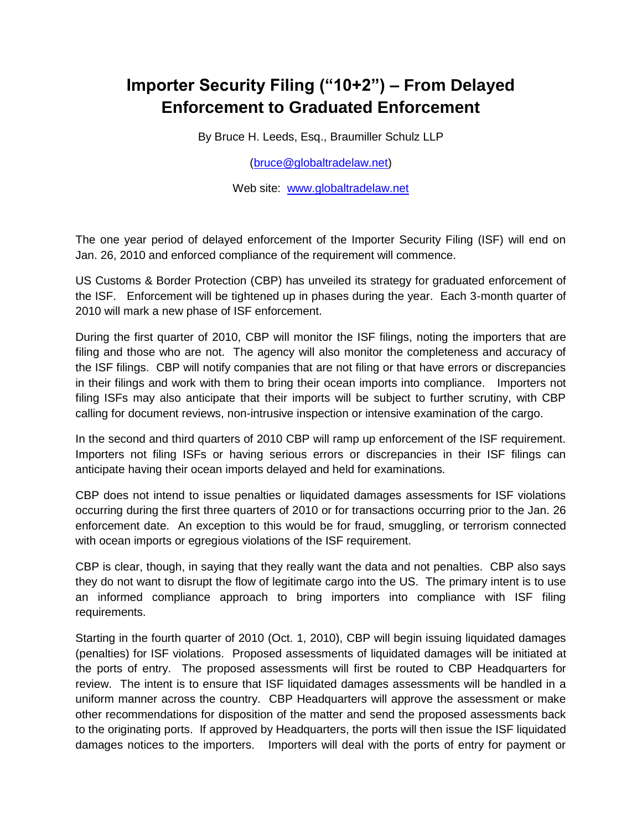## **Importer Security Filing ("10+2") – From Delayed Enforcement to Graduated Enforcement**

By Bruce H. Leeds, Esq., Braumiller Schulz LLP

[\(bruce@globaltradelaw.net\)](mailto:bruce@globaltradelaw.net)

Web site: [www.globaltradelaw.net](http://www.globaltradelaw.net/)

The one year period of delayed enforcement of the Importer Security Filing (ISF) will end on Jan. 26, 2010 and enforced compliance of the requirement will commence.

US Customs & Border Protection (CBP) has unveiled its strategy for graduated enforcement of the ISF. Enforcement will be tightened up in phases during the year. Each 3-month quarter of 2010 will mark a new phase of ISF enforcement.

During the first quarter of 2010, CBP will monitor the ISF filings, noting the importers that are filing and those who are not. The agency will also monitor the completeness and accuracy of the ISF filings. CBP will notify companies that are not filing or that have errors or discrepancies in their filings and work with them to bring their ocean imports into compliance. Importers not filing ISFs may also anticipate that their imports will be subject to further scrutiny, with CBP calling for document reviews, non-intrusive inspection or intensive examination of the cargo.

In the second and third quarters of 2010 CBP will ramp up enforcement of the ISF requirement. Importers not filing ISFs or having serious errors or discrepancies in their ISF filings can anticipate having their ocean imports delayed and held for examinations.

CBP does not intend to issue penalties or liquidated damages assessments for ISF violations occurring during the first three quarters of 2010 or for transactions occurring prior to the Jan. 26 enforcement date. An exception to this would be for fraud, smuggling, or terrorism connected with ocean imports or egregious violations of the ISF requirement.

CBP is clear, though, in saying that they really want the data and not penalties. CBP also says they do not want to disrupt the flow of legitimate cargo into the US. The primary intent is to use an informed compliance approach to bring importers into compliance with ISF filing requirements.

Starting in the fourth quarter of 2010 (Oct. 1, 2010), CBP will begin issuing liquidated damages (penalties) for ISF violations. Proposed assessments of liquidated damages will be initiated at the ports of entry. The proposed assessments will first be routed to CBP Headquarters for review. The intent is to ensure that ISF liquidated damages assessments will be handled in a uniform manner across the country. CBP Headquarters will approve the assessment or make other recommendations for disposition of the matter and send the proposed assessments back to the originating ports. If approved by Headquarters, the ports will then issue the ISF liquidated damages notices to the importers. Importers will deal with the ports of entry for payment or